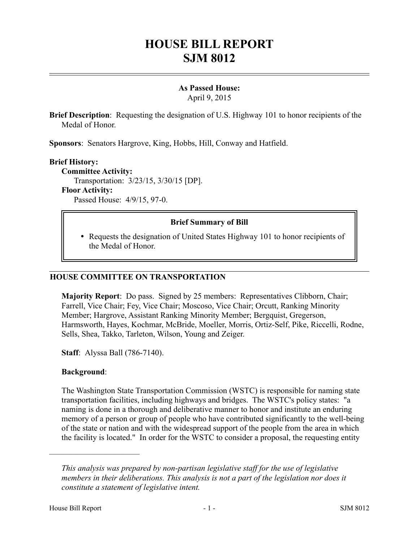# **HOUSE BILL REPORT SJM 8012**

## **As Passed House:**

April 9, 2015

**Brief Description**: Requesting the designation of U.S. Highway 101 to honor recipients of the Medal of Honor.

**Sponsors**: Senators Hargrove, King, Hobbs, Hill, Conway and Hatfield.

### **Brief History:**

**Committee Activity:** Transportation: 3/23/15, 3/30/15 [DP]. **Floor Activity:**

Passed House: 4/9/15, 97-0.

#### **Brief Summary of Bill**

 Requests the designation of United States Highway 101 to honor recipients of the Medal of Honor.

#### **HOUSE COMMITTEE ON TRANSPORTATION**

**Majority Report**: Do pass. Signed by 25 members: Representatives Clibborn, Chair; Farrell, Vice Chair; Fey, Vice Chair; Moscoso, Vice Chair; Orcutt, Ranking Minority Member; Hargrove, Assistant Ranking Minority Member; Bergquist, Gregerson, Harmsworth, Hayes, Kochmar, McBride, Moeller, Morris, Ortiz-Self, Pike, Riccelli, Rodne, Sells, Shea, Takko, Tarleton, Wilson, Young and Zeiger.

**Staff**: Alyssa Ball (786-7140).

#### **Background**:

––––––––––––––––––––––

The Washington State Transportation Commission (WSTC) is responsible for naming state transportation facilities, including highways and bridges. The WSTC's policy states: "a naming is done in a thorough and deliberative manner to honor and institute an enduring memory of a person or group of people who have contributed significantly to the well-being of the state or nation and with the widespread support of the people from the area in which the facility is located." In order for the WSTC to consider a proposal, the requesting entity

*This analysis was prepared by non-partisan legislative staff for the use of legislative members in their deliberations. This analysis is not a part of the legislation nor does it constitute a statement of legislative intent.*